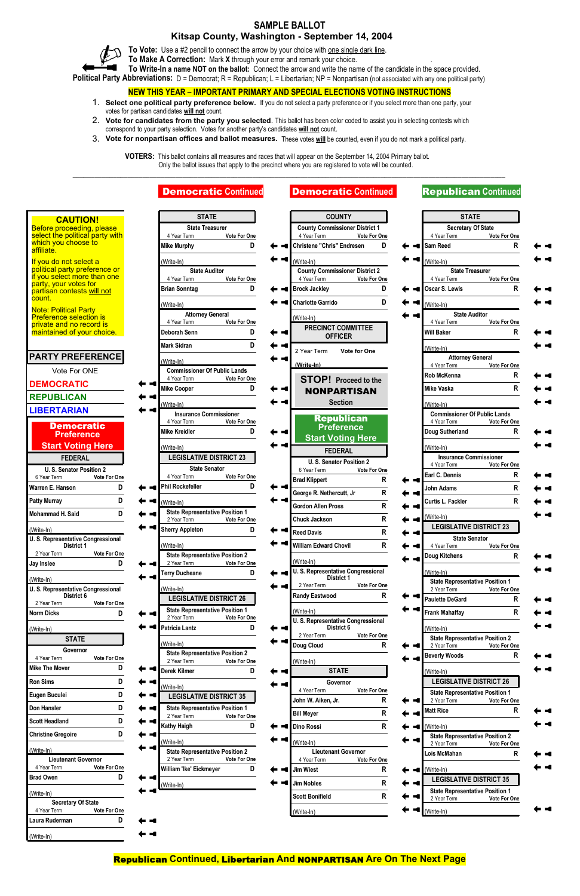## **SAMPLE BALLOT**

## **Kitsap County, Washington - September 14, 2004**

To Vote: Use a #2 pencil to connect the arrow by your choice with <u>one single dark line</u>.

**To Make A Correction:** Mark **X** through your error and remark your choice. .

**To Write-In a name NOT on the ballot:** Connect the arrow and write the name of the candidate in the space provided.

**Political Party Abbreviations:** D = Democrat; R = Republican; L = Libertarian; NP = Nonpartisan (not associated with any one political party)

### **NEW THIS YEAR – IMPORTANT PRIMARY AND SPECIAL ELECTIONS VOTING INSTRUCTIONS**

- 1. **Select one political party preference below.** If you do not select a party preference or if you select more than one party, your votes for partisan candidates **will not** count.
- 2. **Vote for candidates from the party you selected**. This ballot has been color coded to assist you in selecting contests which correspond to your party selection. Votes for another party's candidates **will not** count.
- 3. **Vote for nonpartisan offices and ballot measures.** These votes **will** be counted, even if you do not mark a political party.

**VOTERS:** This ballot contains all measures and races that will appear on the September 14, 2004 Primary ballot. Only the ballot issues that apply to the precinct where you are registered to vote will be counted.

\_\_\_\_\_\_\_\_\_\_\_\_\_\_\_\_\_\_\_\_\_\_\_\_\_\_\_\_\_\_\_\_\_\_\_\_\_\_\_\_\_\_\_\_\_\_\_\_\_\_\_\_\_\_\_\_\_\_\_\_\_\_\_\_\_\_\_\_\_\_\_\_\_\_\_\_\_\_\_\_\_\_\_\_\_\_\_\_\_\_\_\_\_\_\_\_\_\_\_\_\_\_\_\_\_\_\_\_\_\_\_\_\_\_\_\_\_\_

Republican **Continued,** Libertarian **And** NONPARTISAN **Are On The Next Page**



|                                                                | <b>Democratic Continued</b>                                           | <b>Democratic Continued</b>                                           |                   | <b>Republican Continued</b>                           |                   |  |
|----------------------------------------------------------------|-----------------------------------------------------------------------|-----------------------------------------------------------------------|-------------------|-------------------------------------------------------|-------------------|--|
| <b>CAUTION!</b>                                                | <b>STATE</b>                                                          | <b>COUNTY</b>                                                         |                   | <b>STATE</b>                                          |                   |  |
| Before proceeding, please<br>select the political party with   | <b>State Treasurer</b>                                                | <b>County Commissioner District 1</b>                                 |                   | <b>Secretary Of State</b>                             |                   |  |
| which you choose to<br>affiliate.                              | Vote For One<br>4 Year Term<br>D<br><b>Mike Murphy</b>                | 4 Year Term<br>Vote For One<br><b>Christene "Chris" Endresen</b><br>D |                   | 4 Year Term<br>Sam Reed                               | Vote For One<br>R |  |
| If you do not select a                                         | (Write-In)                                                            | (Write-In)                                                            |                   | (Write-In)                                            |                   |  |
| political party preference or<br>if you select more than one   | <b>State Auditor</b>                                                  | <b>County Commissioner District 2</b>                                 |                   | <b>State Treasurer</b>                                |                   |  |
| party, your votes for                                          | 4 Year Term<br>Vote For One<br>D<br><b>Brian Sonntag</b>              | 4 Year Term<br>Vote For One<br>D<br><b>Brock Jackley</b>              |                   | 4 Year Term<br><b>Oscar S. Lewis</b>                  | Vote For One<br>R |  |
| partisan contests will not<br>count.                           |                                                                       | D<br><b>Charlotte Garrido</b>                                         |                   |                                                       |                   |  |
| <b>Note: Political Party</b><br><b>Preference selection is</b> | (Write-In)<br><b>Attorney General</b>                                 |                                                                       |                   | (Write-In)<br><b>State Auditor</b>                    |                   |  |
| private and no record is                                       | 4 Year Term<br>Vote For One                                           | (Write-In)<br><b>PRECINCT COMMITTEE</b>                               |                   | 4 Year Term                                           | Vote For One      |  |
| maintained of your choice.                                     | D<br>Deborah Senn                                                     | <b>OFFICER</b>                                                        |                   | <b>Will Baker</b>                                     | R                 |  |
|                                                                | D<br><b>Mark Sidran</b>                                               | <b>Vote for One</b><br>2 Year Term                                    |                   | (Write-In)                                            |                   |  |
| <b>PARTY PREFERENCE</b>                                        | (Write-In)                                                            | (Write-In)                                                            |                   | <b>Attorney General</b><br>4 Year Term                | Vote For One      |  |
| Vote For ONE                                                   | <b>Commissioner Of Public Lands</b><br>4 Year Term<br>Vote For One    | <b>STOP!</b> Proceed to the                                           |                   | <b>Rob McKenna</b>                                    | R                 |  |
| <b>DEMOCRATIC</b>                                              | <b>Mike Cooper</b><br>D                                               | <b>NONPARTISAN</b>                                                    |                   | <b>Mike Vaska</b>                                     | R                 |  |
| <b>REPUBLICAN</b>                                              | (Write-In)                                                            | <b>Section</b>                                                        |                   | (Write-In)                                            |                   |  |
| <b>LIBERTARIAN</b>                                             | <b>Insurance Commissioner</b>                                         |                                                                       |                   | <b>Commissioner Of Public Lands</b>                   |                   |  |
| <b>Democratic</b>                                              | 4 Year Term<br>Vote For One<br><b>Mike Kreidler</b><br>D              | <b>Republican</b><br><b>Preference</b>                                |                   | 4 Year Term                                           | Vote For One<br>R |  |
| <b>Preference</b>                                              |                                                                       | <b>Start Voting Here</b>                                              |                   | Doug Sutherland                                       |                   |  |
| <b>Start Voting Here</b>                                       | (Write-In)                                                            | <b>FEDERAL</b>                                                        |                   | (Write-In)                                            |                   |  |
| <b>FEDERAL</b>                                                 | <b>LEGISLATIVE DISTRICT 23</b><br><b>State Senator</b>                | U.S. Senator Position 2                                               |                   | <b>Insurance Commissioner</b><br>4 Year Term          | Vote For One      |  |
| U. S. Senator Position 2<br>6 Year Term<br>Vote For One        | 4 Year Term<br>Vote For One                                           | 6 Year Term<br>Vote For One<br>R<br><b>Brad Klippert</b>              |                   | Earl C. Dennis                                        | R                 |  |
| Warren E. Hanson<br>D                                          | D<br><b>Phil Rockefeller</b>                                          | R<br>George R. Nethercutt, Jr                                         |                   | <b>John Adams</b>                                     | $\mathsf{R}$      |  |
| D<br><b>Patty Murray</b>                                       | (Write-In)                                                            | R<br><b>Gordon Allen Pross</b>                                        |                   | Curtis L. Fackler                                     | $\mathsf{R}$      |  |
| Mohammad H. Said<br>D                                          | <b>State Representative Position 1</b><br>2 Year Term<br>Vote For One | R<br><b>Chuck Jackson</b>                                             |                   | $(Write-In)$                                          |                   |  |
| (Write-In)                                                     | <b>Sherry Appleton</b><br>D                                           | ${\sf R}$<br><b>Reed Davis</b>                                        | <b>CONTRACTOR</b> | <b>LEGISLATIVE DISTRICT 23</b>                        |                   |  |
| <b>U. S. Representative Congressional</b><br><b>District 1</b> | (Write-In)                                                            | R<br><b>William Edward Chovil</b>                                     |                   | <b>State Senator</b><br>4 Year Term                   | Vote For One      |  |
| 2 Year Term<br>Vote For One                                    | <b>State Representative Position 2</b>                                |                                                                       |                   | <b>Doug Kitchens</b>                                  | R                 |  |
| D<br>Jay Inslee                                                | 2 Year Term<br>Vote For One<br><b>Terry Ducheane</b><br>D             | (Write-In)<br>U. S. Representative Congressional                      |                   | (Write-In)                                            |                   |  |
| (Write-In)                                                     |                                                                       | District 1<br>2 Year Term<br>Vote For One                             |                   | <b>State Representative Position 1</b>                |                   |  |
| U. S. Representative Congressional<br>District 6               | (Write-In)<br><b>LEGISLATIVE DISTRICT 26</b>                          | R<br><b>Randy Eastwood</b>                                            |                   | 2 Year Term                                           | Vote For One      |  |
| 2 Year Term<br>Vote For One                                    | <b>State Representative Position 1</b>                                |                                                                       |                   | <b>Paulette DeGard</b>                                | R                 |  |
| D<br><b>Norm Dicks</b>                                         | 2 Year Term<br>Vote For One                                           | (Write-In)<br>U. S. Representative Congressional                      |                   | <b>Frank Mahaffay</b>                                 | R                 |  |
| (Write-In)                                                     | D<br><b>Patricia Lantz</b>                                            | District 6<br>2 Year Term<br>Vote For One                             |                   | (Write-In)                                            |                   |  |
| <b>STATE</b>                                                   | (Write-In)                                                            | R<br>Doug Cloud                                                       |                   | <b>State Representative Position 2</b><br>2 Year Term | Vote For One      |  |
| Governor<br>Vote For One<br>A Vest Term                        | <b>State Representative Position 2</b>                                |                                                                       |                   | <b>Beverly Woods</b>                                  | R                 |  |